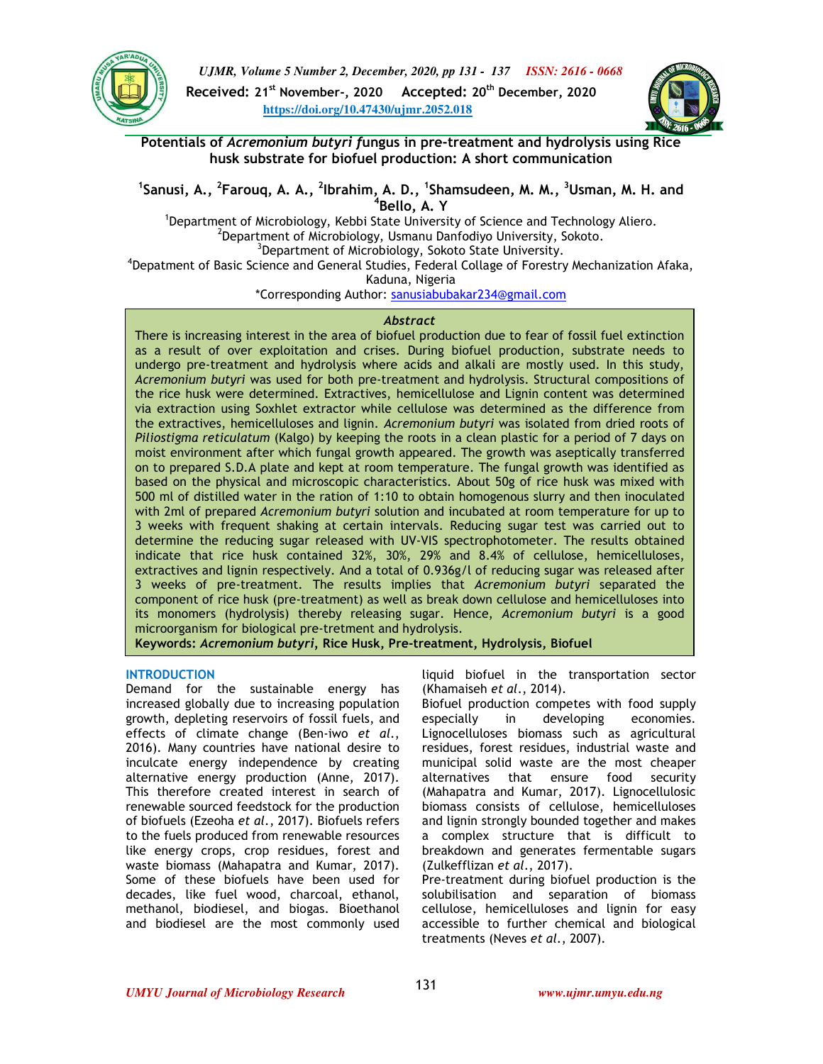

*UJMR, Volume 5 Number 2, December, 2020, pp 131 - 137 ISSN: 2616 - 0668* **Received: 21st November-, 2020 Accepted: 20th December, 2020 https://doi.org/10.47430/ujmr.2052.018**



**Potentials of** *Acremonium butyri f***ungus in pre-treatment and hydrolysis using Rice husk substrate for biofuel production: A short communication**

<sup>1</sup>Sanusi, A., <sup>2</sup>Farouq, A. A., <sup>2</sup>Ibrahim, A. D., <sup>1</sup>Shamsudeen, M. M., <sup>3</sup>Usman, M. H. and **4 Bello, A. Y** 

<sup>1</sup>Department of Microbiology, Kebbi State University of Science and Technology Aliero.  $^{2}$ Department of Microbiology, Usmanu Danfodiyo University, Sokoto. <sup>3</sup>Department of Microbiology, Sokoto State University. <sup>4</sup>Depatment of Basic Science and General Studies, Federal Collage of Forestry Mechanization Afaka,

Kaduna, Nigeria

\*Corresponding Author: sanusiabubakar234@gmail.com

## *Abstract*

There is increasing interest in the area of biofuel production due to fear of fossil fuel extinction as a result of over exploitation and crises. During biofuel production, substrate needs to undergo pre-treatment and hydrolysis where acids and alkali are mostly used. In this study, *Acremonium butyri* was used for both pre-treatment and hydrolysis. Structural compositions of the rice husk were determined. Extractives, hemicellulose and Lignin content was determined via extraction using Soxhlet extractor while cellulose was determined as the difference from the extractives, hemicelluloses and lignin. *Acremonium butyri* was isolated from dried roots of *Piliostigma reticulatum* (Kalgo) by keeping the roots in a clean plastic for a period of 7 days on moist environment after which fungal growth appeared. The growth was aseptically transferred on to prepared S.D.A plate and kept at room temperature. The fungal growth was identified as based on the physical and microscopic characteristics. About 50g of rice husk was mixed with 500 ml of distilled water in the ration of 1:10 to obtain homogenous slurry and then inoculated with 2ml of prepared *Acremonium butyri* solution and incubated at room temperature for up to 3 weeks with frequent shaking at certain intervals. Reducing sugar test was carried out to determine the reducing sugar released with UV-VIS spectrophotometer. The results obtained indicate that rice husk contained 32%, 30%, 29% and 8.4% of cellulose, hemicelluloses, extractives and lignin respectively. And a total of 0.936g/l of reducing sugar was released after 3 weeks of pre-treatment. The results implies that *Acremonium butyri* separated the component of rice husk (pre-treatment) as well as break down cellulose and hemicelluloses into its monomers (hydrolysis) thereby releasing sugar. Hence, *Acremonium butyri* is a good microorganism for biological pre-tretment and hydrolysis. **Keywords:** *Acremonium butyri,* **Rice Husk, Pre-treatment, Hydrolysis, Biofuel**

## **INTRODUCTION**

Demand for the sustainable energy has increased globally due to increasing population growth, depleting reservoirs of fossil fuels, and effects of climate change (Ben-iwo *et al*., 2016). Many countries have national desire to inculcate energy independence by creating alternative energy production (Anne, 2017). This therefore created interest in search of renewable sourced feedstock for the production of biofuels (Ezeoha *et al*., 2017). Biofuels refers to the fuels produced from renewable resources like energy crops, crop residues, forest and waste biomass (Mahapatra and Kumar, 2017). Some of these biofuels have been used for decades, like fuel wood, charcoal, ethanol, methanol, biodiesel, and biogas. Bioethanol and biodiesel are the most commonly used liquid biofuel in the transportation sector (Khamaiseh *et al*., 2014).

Biofuel production competes with food supply especially in developing economies. Lignocelluloses biomass such as agricultural residues, forest residues, industrial waste and municipal solid waste are the most cheaper alternatives that ensure food security (Mahapatra and Kumar, 2017). Lignocellulosic biomass consists of cellulose, hemicelluloses and lignin strongly bounded together and makes a complex structure that is difficult to breakdown and generates fermentable sugars (Zulkefflizan *et al*., 2017).

Pre-treatment during biofuel production is the solubilisation and separation of biomass cellulose, hemicelluloses and lignin for easy accessible to further chemical and biological treatments (Neves *et al*., 2007).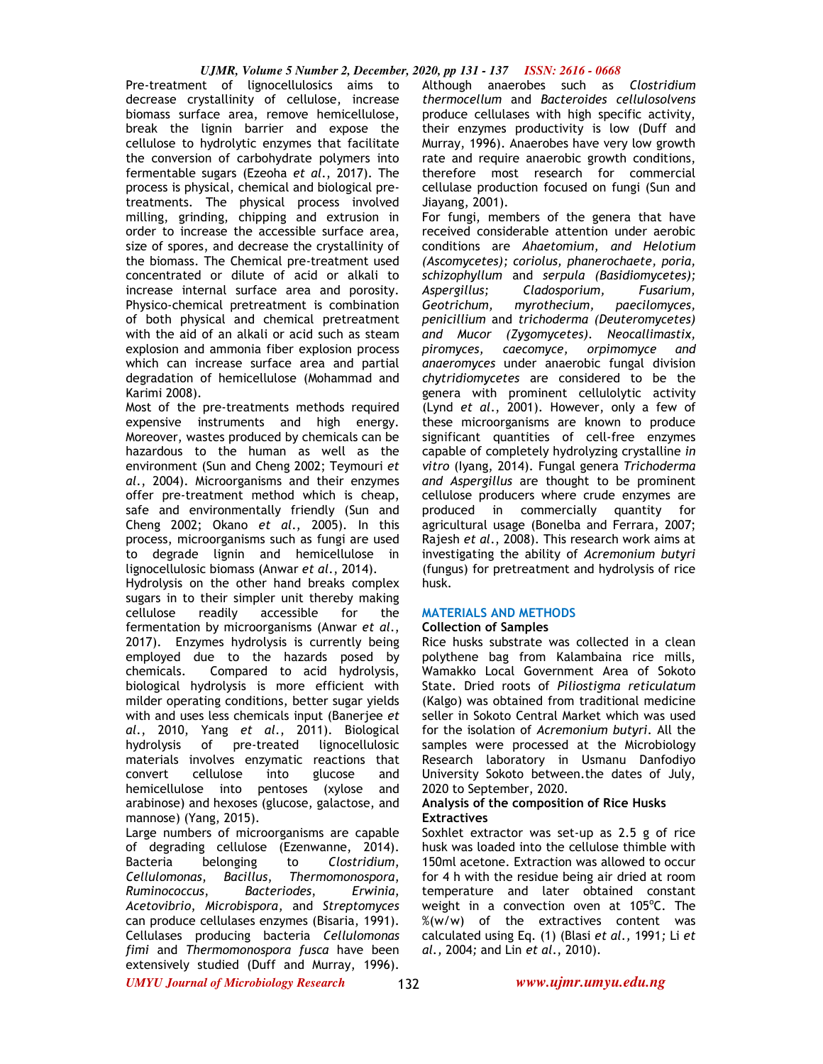Pre-treatment of lignocellulosics aims to decrease crystallinity of cellulose, increase biomass surface area, remove hemicellulose, break the lignin barrier and expose the cellulose to hydrolytic enzymes that facilitate the conversion of carbohydrate polymers into fermentable sugars (Ezeoha *et al*., 2017). The process is physical, chemical and biological pretreatments. The physical process involved milling, grinding, chipping and extrusion in order to increase the accessible surface area, size of spores, and decrease the crystallinity of the biomass. The Chemical pre-treatment used concentrated or dilute of acid or alkali to increase internal surface area and porosity. Physico-chemical pretreatment is combination of both physical and chemical pretreatment with the aid of an alkali or acid such as steam explosion and ammonia fiber explosion process which can increase surface area and partial degradation of hemicellulose (Mohammad and Karimi 2008).

Most of the pre-treatments methods required expensive instruments and high energy. Moreover, wastes produced by chemicals can be hazardous to the human as well as the environment (Sun and Cheng 2002; Teymouri *et al*., 2004). Microorganisms and their enzymes offer pre-treatment method which is cheap, safe and environmentally friendly (Sun and Cheng 2002; Okano *et al*., 2005). In this process, microorganisms such as fungi are used to degrade lignin and hemicellulose in lignocellulosic biomass (Anwar *et al*., 2014).

Hydrolysis on the other hand breaks complex sugars in to their simpler unit thereby making cellulose readily accessible for the fermentation by microorganisms (Anwar *et al*., 2017). Enzymes hydrolysis is currently being employed due to the hazards posed by chemicals. Compared to acid hydrolysis, biological hydrolysis is more efficient with milder operating conditions, better sugar yields with and uses less chemicals input (Banerjee *et al*., 2010, Yang *et al*., 2011). Biological hydrolysis of pre-treated lignocellulosic materials involves enzymatic reactions that convert cellulose into glucose and hemicellulose into pentoses (xylose and arabinose) and hexoses (glucose, galactose, and mannose) (Yang, 2015).

Large numbers of microorganisms are capable of degrading cellulose (Ezenwanne, 2014). Bacteria belonging to *Clostridium*, *Cellulomonas*, *Bacillus*, *Thermomonospora*, *Ruminococcus*, *Bacteriodes*, *Erwinia*, *Acetovibrio*, *Microbispora*, and *Streptomyces* can produce cellulases enzymes (Bisaria, 1991). Cellulases producing bacteria *Cellulomonas fimi* and *Thermomonospora fusca* have been extensively studied (Duff and Murray, 1996).

Although anaerobes such as *Clostridium thermocellum* and *Bacteroides cellulosolvens* produce cellulases with high specific activity, their enzymes productivity is low (Duff and Murray, 1996). Anaerobes have very low growth rate and require anaerobic growth conditions, therefore most research for commercial cellulase production focused on fungi (Sun and Jiayang, 2001).

For fungi, members of the genera that have received considerable attention under aerobic conditions are *Ahaetomium, and Helotium (Ascomycetes); coriolus, phanerochaete, poria, schizophyllum* and *serpula (Basidiomycetes); Aspergillus; Cladosporium, Fusarium, Geotrichum, myrothecium, paecilomyces, penicillium* and *trichoderma (Deuteromycetes) and Mucor (Zygomycetes). Neocallimastix, piromyces, caecomyce, orpimomyce and anaeromyces* under anaerobic fungal division *chytridiomycetes* are considered to be the genera with prominent cellulolytic activity (Lynd *et al*., 2001). However, only a few of these microorganisms are known to produce significant quantities of cell-free enzymes capable of completely hydrolyzing crystalline *in vitro* (Iyang, 2014). Fungal genera *Trichoderma and Aspergillus* are thought to be prominent cellulose producers where crude enzymes are produced in commercially quantity for agricultural usage (Bonelba and Ferrara, 2007; Rajesh *et al*., 2008). This research work aims at investigating the ability of *Acremonium butyri* (fungus) for pretreatment and hydrolysis of rice husk.

# **MATERIALS AND METHODS**

# **Collection of Samples**

Rice husks substrate was collected in a clean polythene bag from Kalambaina rice mills, Wamakko Local Government Area of Sokoto State. Dried roots of *Piliostigma reticulatum*  (Kalgo) was obtained from traditional medicine seller in Sokoto Central Market which was used for the isolation of *Acremonium butyri*. All the samples were processed at the Microbiology Research laboratory in Usmanu Danfodiyo University Sokoto between.the dates of July, 2020 to September, 2020.

## **Analysis of the composition of Rice Husks Extractives**

Soxhlet extractor was set-up as 2.5 g of rice husk was loaded into the cellulose thimble with 150ml acetone. Extraction was allowed to occur for 4 h with the residue being air dried at room temperature and later obtained constant weight in a convection oven at 105°C. The %(w/w) of the extractives content was calculated using Eq. (1) (Blasi *et al.,* 1991*;* Li *et al.,* 2004*;* and Lin *et al*., 2010).

*UMYU Journal of Microbiology Research www.ujmr.umyu.edu.ng*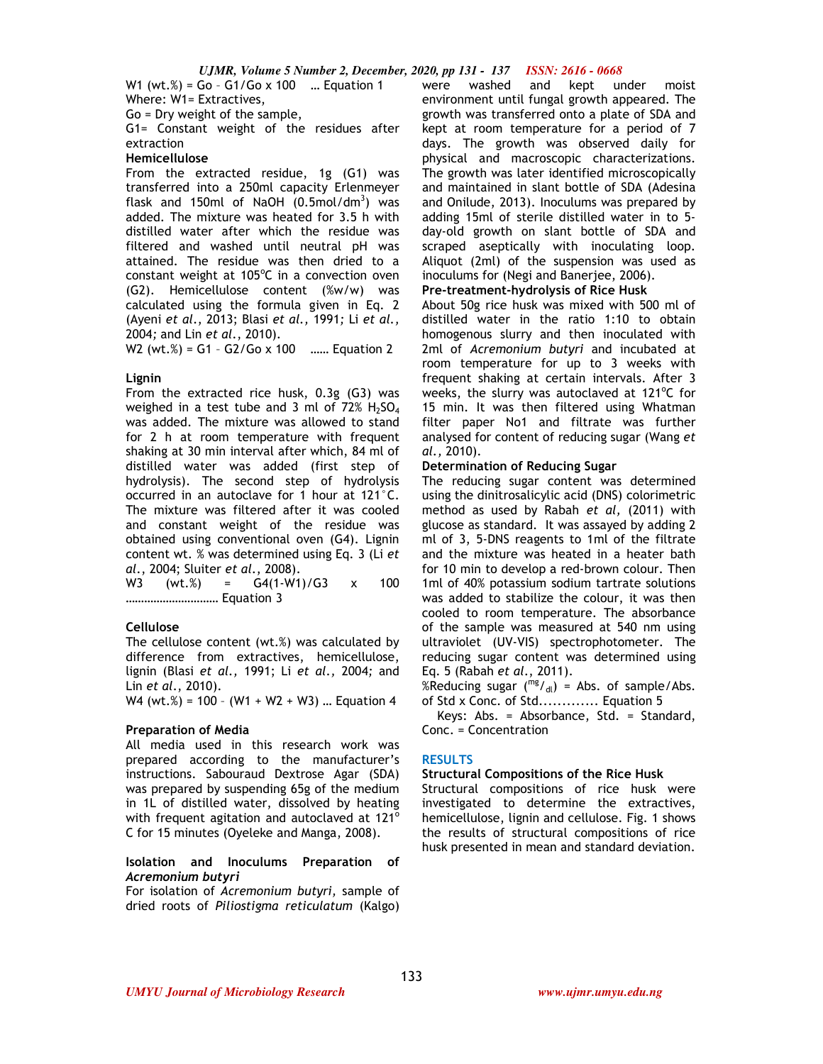W1 (wt.%) = Go – G1/Go x 100 … Equation 1 Where: W1= Extractives,

Go = Dry weight of the sample,

G1= Constant weight of the residues after extraction

# **Hemicellulose**

From the extracted residue, 1g (G1) was transferred into a 250ml capacity Erlenmeyer flask and 150ml of NaOH  $(0.5 \text{mol/dm}^3)$  was added. The mixture was heated for 3.5 h with distilled water after which the residue was filtered and washed until neutral pH was attained. The residue was then dried to a constant weight at  $105^{\circ}$ C in a convection oven (G2). Hemicellulose content (%w/w) was calculated using the formula given in Eq. 2 (Ayeni *et al*., 2013; Blasi *et al.,* 1991*;* Li *et al.,*  2004*;* and Lin *et al*., 2010).

W2 (wt.%) = G1 - G2/Go x 100 ...... Equation 2

## **Lignin**

From the extracted rice husk, 0.3g (G3) was weighed in a test tube and 3 ml of  $72\%$  H<sub>2</sub>SO<sub>4</sub> was added. The mixture was allowed to stand for 2 h at room temperature with frequent shaking at 30 min interval after which, 84 ml of distilled water was added (first step of hydrolysis). The second step of hydrolysis occurred in an autoclave for 1 hour at 121°C. The mixture was filtered after it was cooled and constant weight of the residue was obtained using conventional oven (G4). Lignin content wt. % was determined using Eq. 3 (Li *et al*., 2004; Sluiter *et al*., 2008).

W3 (wt.%) = G4(1-W1)/G3 x 100 ………………………… Equation 3

## **Cellulose**

The cellulose content (wt.%) was calculated by difference from extractives, hemicellulose, lignin (Blasi *et al.,* 1991; Li *et al.,* 2004*;* and Lin *et al*., 2010).

W4 (wt.%) = 100 – (W1 + W2 + W3) … Equation 4

#### **Preparation of Media**

All media used in this research work was prepared according to the manufacturer's instructions. Sabouraud Dextrose Agar (SDA) was prepared by suspending 65g of the medium in 1L of distilled water, dissolved by heating with frequent agitation and autoclaved at  $121^\circ$ C for 15 minutes (Oyeleke and Manga, 2008).

## **Isolation and Inoculums Preparation of**  *Acremonium butyri*

For isolation of *Acremonium butyri,* sample of dried roots of *Piliostigma reticulatum* (Kalgo)

were washed and kept under moist environment until fungal growth appeared. The growth was transferred onto a plate of SDA and kept at room temperature for a period of 7 days. The growth was observed daily for physical and macroscopic characterizations. The growth was later identified microscopically and maintained in slant bottle of SDA (Adesina and Onilude, 2013). Inoculums was prepared by adding 15ml of sterile distilled water in to 5 day-old growth on slant bottle of SDA and scraped aseptically with inoculating loop. Aliquot (2ml) of the suspension was used as inoculums for (Negi and Banerjee, 2006).

**Pre-treatment-hydrolysis of Rice Husk** 

About 50g rice husk was mixed with 500 ml of distilled water in the ratio 1:10 to obtain homogenous slurry and then inoculated with 2ml of *Acremonium butyri* and incubated at room temperature for up to 3 weeks with frequent shaking at certain intervals. After 3 weeks, the slurry was autoclaved at  $121^{\circ}$ C for 15 min. It was then filtered using Whatman filter paper No1 and filtrate was further analysed for content of reducing sugar (Wang *et al.,* 2010).

## **Determination of Reducing Sugar**

The reducing sugar content was determined using the dinitrosalicylic acid (DNS) colorimetric method as used by Rabah *et al,* (2011) with glucose as standard. It was assayed by adding 2 ml of 3, 5-DNS reagents to 1ml of the filtrate and the mixture was heated in a heater bath for 10 min to develop a red-brown colour. Then 1ml of 40% potassium sodium tartrate solutions was added to stabilize the colour, it was then cooled to room temperature. The absorbance of the sample was measured at 540 nm using ultraviolet (UV-VIS) spectrophotometer. The reducing sugar content was determined using Eq. 5 (Rabah *et al*., 2011).

%Reducing sugar  $\binom{mg}{d}$  = Abs. of sample/Abs. of Std x Conc. of Std............. Equation 5

 Keys: Abs. = Absorbance, Std. = Standard, Conc. = Concentration

#### **RESULTS**

## **Structural Compositions of the Rice Husk**

Structural compositions of rice husk were investigated to determine the extractives, hemicellulose, lignin and cellulose. Fig. 1 shows the results of structural compositions of rice husk presented in mean and standard deviation.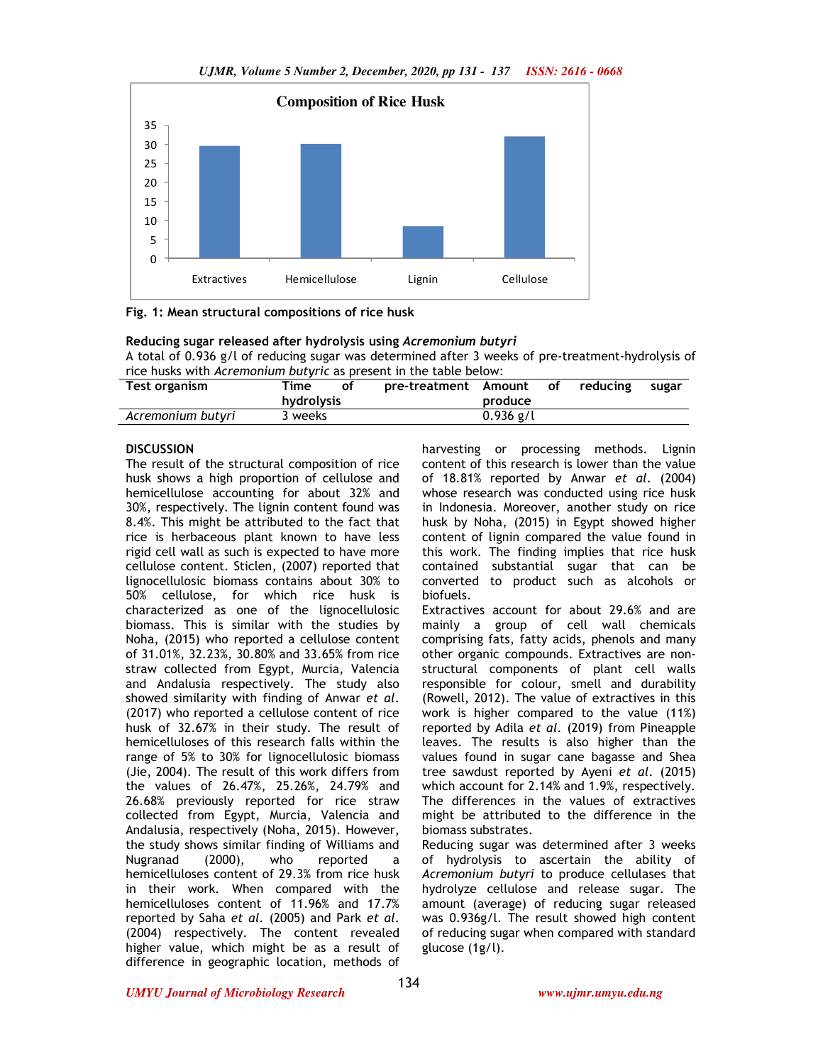



**Reducing sugar released after hydrolysis using** *Acremonium butyri* A total of 0.936 g/l of reducing sugar was determined after 3 weeks of pre-treatment-hydrolysis of rice husks with *Acremonium butyric* as present in the table below:

| Test organism     | Time       | οf | pre-treatment Amount |             | οf | reducing | sugar |
|-------------------|------------|----|----------------------|-------------|----|----------|-------|
|                   | hydrolysis |    |                      | produce     |    |          |       |
| Acremonium butyri | 3 weeks    |    |                      | $0.936$ g/l |    |          |       |

# **DISCUSSION**

The result of the structural composition of rice husk shows a high proportion of cellulose and hemicellulose accounting for about 32% and 30%, respectively. The lignin content found was 8.4%. This might be attributed to the fact that rice is herbaceous plant known to have less rigid cell wall as such is expected to have more cellulose content. Sticlen, (2007) reported that lignocellulosic biomass contains about 30% to 50% cellulose, for which rice husk is characterized as one of the lignocellulosic biomass. This is similar with the studies by Noha, (2015) who reported a cellulose content of 31.01%, 32.23%, 30.80% and 33.65% from rice straw collected from Egypt, Murcia, Valencia and Andalusia respectively. The study also showed similarity with finding of Anwar *et al*. (2017) who reported a cellulose content of rice husk of 32.67% in their study. The result of hemicelluloses of this research falls within the range of 5% to 30% for lignocellulosic biomass (Jie, 2004). The result of this work differs from the values of 26.47%, 25.26%, 24.79% and 26.68% previously reported for rice straw collected from Egypt, Murcia, Valencia and Andalusia, respectively (Noha, 2015). However, the study shows similar finding of Williams and Nugranad (2000), who reported a hemicelluloses content of 29.3% from rice husk in their work. When compared with the hemicelluloses content of 11.96% and 17.7% reported by Saha *et al*. (2005) and Park *et al*. (2004) respectively. The content revealed higher value, which might be as a result of difference in geographic location, methods of harvesting or processing methods. Lignin content of this research is lower than the value of 18.81% reported by Anwar *et al*. (2004) whose research was conducted using rice husk in Indonesia. Moreover, another study on rice husk by Noha, (2015) in Egypt showed higher content of lignin compared the value found in this work. The finding implies that rice husk contained substantial sugar that can be converted to product such as alcohols or biofuels.

Extractives account for about 29.6% and are mainly a group of cell wall chemicals comprising fats, fatty acids, phenols and many other organic compounds. Extractives are nonstructural components of plant cell walls responsible for colour, smell and durability (Rowell, 2012). The value of extractives in this work is higher compared to the value (11%) reported by Adila *et al*. (2019) from Pineapple leaves. The results is also higher than the values found in sugar cane bagasse and Shea tree sawdust reported by Ayeni *et al*. (2015) which account for 2.14% and 1.9%, respectively. The differences in the values of extractives might be attributed to the difference in the biomass substrates.

Reducing sugar was determined after 3 weeks of hydrolysis to ascertain the ability of *Acremonium butyri* to produce cellulases that hydrolyze cellulose and release sugar. The amount (average) of reducing sugar released was 0.936g/l. The result showed high content of reducing sugar when compared with standard glucose (1g/l).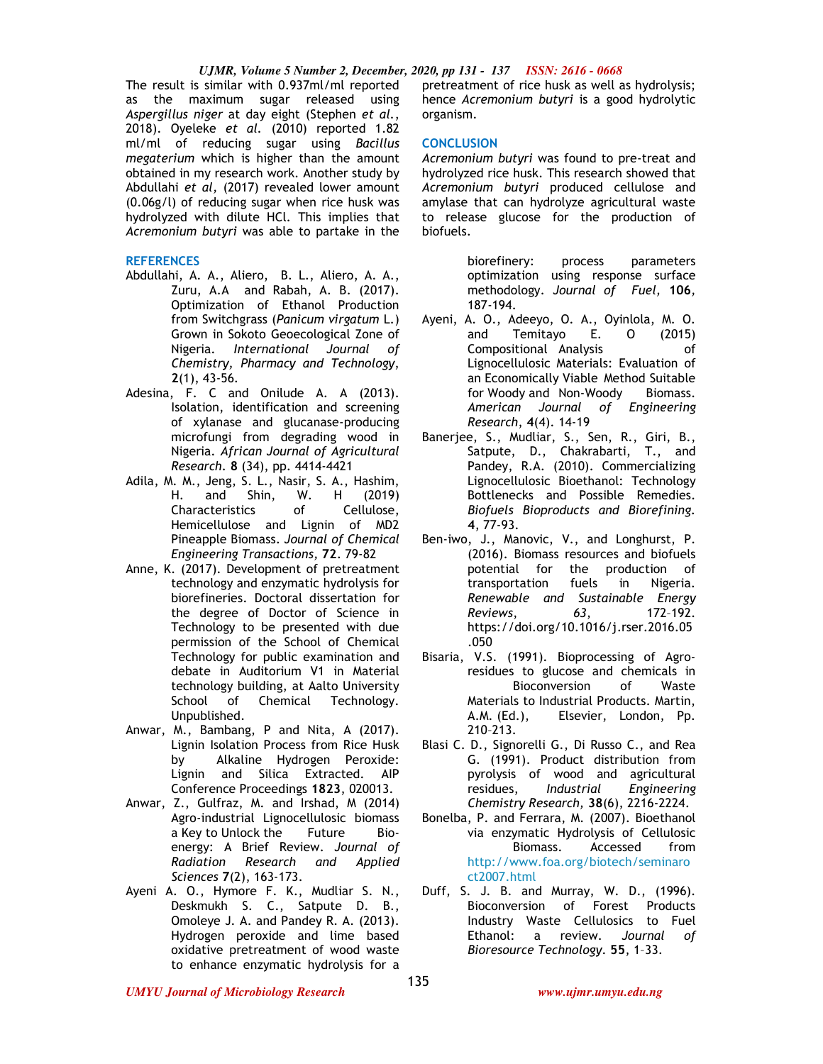The result is similar with 0.937ml/ml reported as the maximum sugar released using *Aspergillus niger* at day eight (Stephen *et al.*, 2018). Oyeleke *et al.* (2010) reported 1.82 ml/ml of reducing sugar using *Bacillus megaterium* which is higher than the amount obtained in my research work. Another study by Abdullahi *et al,* (2017) revealed lower amount (0.06g/l) of reducing sugar when rice husk was hydrolyzed with dilute HCl. This implies that *Acremonium butyri* was able to partake in the

#### **REFERENCES**

- Abdullahi, A. A., Aliero, B. L., Aliero, A. A., Zuru, A.A and Rabah, A. B. (2017). Optimization of Ethanol Production from Switchgrass (*Panicum virgatum* L.) Grown in Sokoto Geoecological Zone of Nigeria. *International Journal of Chemistry, Pharmacy and Technology*, **2**(1), 43-56.
- Adesina, F. C and Onilude A. A (2013). Isolation, identification and screening of xylanase and glucanase-producing microfungi from degrading wood in Nigeria. *African Journal of Agricultural Research*. **8** (34), pp. 4414-4421
- Adila, M. M., Jeng, S. L., Nasir, S. A., Hashim, H. and Shin, W. H (2019) Characteristics of Cellulose, Hemicellulose and Lignin of MD2 Pineapple Biomass. *Journal of Chemical Engineering Transactions,* **72**. 79-82
- Anne, K. (2017). Development of pretreatment technology and enzymatic hydrolysis for biorefineries. Doctoral dissertation for the degree of Doctor of Science in Technology to be presented with due permission of the School of Chemical Technology for public examination and debate in Auditorium V1 in Material technology building, at Aalto University School of Chemical Technology. Unpublished.
- Anwar, M., Bambang, P and Nita, A (2017). Lignin Isolation Process from Rice Husk by Alkaline Hydrogen Peroxide: Lignin and Silica Extracted. AIP Conference Proceedings **1823**, 020013.
- Anwar, Z., Gulfraz, M. and Irshad, M (2014) Agro-industrial Lignocellulosic biomass a Key to Unlock the Future Bioenergy: A Brief Review. *Journal of Radiation Research and Applied Sciences* **7**(2), 163-173.
- Ayeni A. O., Hymore F. K., Mudliar S. N., Deskmukh S. C., Satpute D. B., Omoleye J. A. and Pandey R. A. (2013). Hydrogen peroxide and lime based oxidative pretreatment of wood waste to enhance enzymatic hydrolysis for a

pretreatment of rice husk as well as hydrolysis; hence *Acremonium butyri* is a good hydrolytic organism.

## **CONCLUSION**

*Acremonium butyri* was found to pre-treat and hydrolyzed rice husk. This research showed that *Acremonium butyri* produced cellulose and amylase that can hydrolyze agricultural waste to release glucose for the production of biofuels.

> biorefinery: process parameters optimization using response surface methodology. *Journal of Fuel,* **106***,* 187-194.

- Ayeni, A. O., Adeeyo, O. A., Oyinlola, M. O. and Temitayo E. O (2015) Compositional Analysis of Lignocellulosic Materials: Evaluation of an Economically Viable Method Suitable for Woody and Non-Woody Biomass. *American Journal of Engineering Research*, **4**(4). 14-19
- Banerjee, S., Mudliar, S., Sen, R., Giri, B., Satpute, D., Chakrabarti, T., and Pandey, R.A. (2010). Commercializing Lignocellulosic Bioethanol: Technology Bottlenecks and Possible Remedies. *Biofuels Bioproducts and Biorefining.* **4**, 77-93.
- Ben-iwo, J., Manovic, V., and Longhurst, P. (2016). Biomass resources and biofuels potential for the production of transportation fuels in Nigeria. *Renewable and Sustainable Energy Reviews*, *63*, 172–192. https://doi.org/10.1016/j.rser.2016.05 .050
- Bisaria, V.S. (1991). Bioprocessing of Agroresidues to glucose and chemicals in Bioconversion of Waste Materials to Industrial Products. Martin, A.M. (Ed.), Elsevier, London, Pp. 210–213.
- Blasi C. D., Signorelli G., Di Russo C., and Rea G. (1991). Product distribution from pyrolysis of wood and agricultural residues, *Industrial Engineering Chemistry Research,* **38**(6), 2216-2224.
- Bonelba, P. and Ferrara, M. (2007). Bioethanol via enzymatic Hydrolysis of Cellulosic Biomass. Accessed from http://www.foa.org/biotech/seminaro ct2007.html
- Duff, S. J. B. and Murray, W. D., (1996). Bioconversion of Forest Products Industry Waste Cellulosics to Fuel Ethanol: a review. *Journal of Bioresource Technology*. **55**, 1–33.

*UMYU Journal of Microbiology Research www.ujmr.umyu.edu.ng*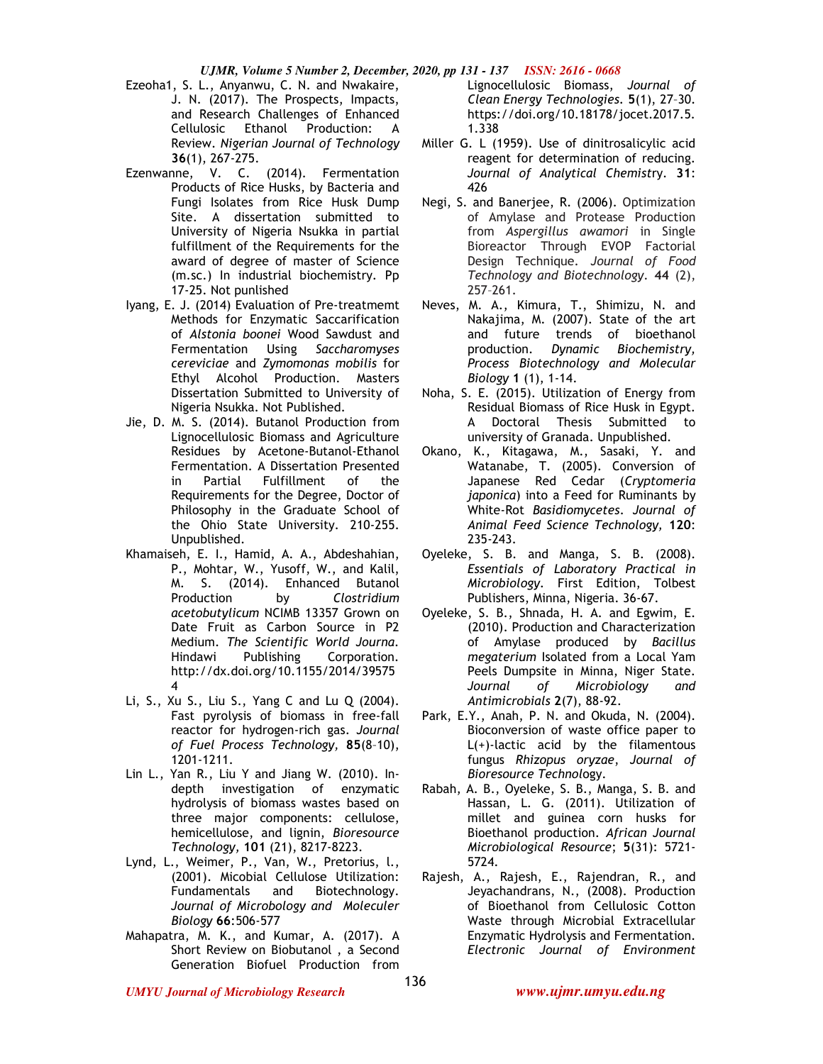- Ezeoha1, S. L., Anyanwu, C. N. and Nwakaire, J. N. (2017). The Prospects, Impacts, and Research Challenges of Enhanced Cellulosic Ethanol Production: A Review. *Nigerian Journal of Technology*  **36**(1), 267-275.
- Ezenwanne, V. C. (2014). Fermentation Products of Rice Husks, by Bacteria and Fungi Isolates from Rice Husk Dump Site. A dissertation submitted to University of Nigeria Nsukka in partial fulfillment of the Requirements for the award of degree of master of Science (m.sc.) In industrial biochemistry. Pp 17-25. Not punlished
- Iyang, E. J. (2014) Evaluation of Pre-treatmemt Methods for Enzymatic Saccarification of *Alstonia boonei* Wood Sawdust and Fermentation Using *Saccharomyses cereviciae* and *Zymomonas mobilis* for Ethyl Alcohol Production. Masters Dissertation Submitted to University of Nigeria Nsukka. Not Published.
- Jie, D. M. S. (2014). Butanol Production from Lignocellulosic Biomass and Agriculture Residues by Acetone-Butanol-Ethanol Fermentation. A Dissertation Presented in Partial Fulfillment of the Requirements for the Degree, Doctor of Philosophy in the Graduate School of the Ohio State University. 210-255. Unpublished.
- Khamaiseh, E. I., Hamid, A. A., Abdeshahian, P., Mohtar, W., Yusoff, W., and Kalil, M. S. (2014). Enhanced Butanol Production by *Clostridium acetobutylicum* NCIMB 13357 Grown on Date Fruit as Carbon Source in P2 Medium. *The Scientific World Journa.*  Hindawi Publishing Corporation*.*  http://dx.doi.org/10.1155/2014/39575 4
- Li, S., Xu S., Liu S., Yang C and Lu Q (2004). Fast pyrolysis of biomass in free-fall reactor for hydrogen-rich gas. *Journal of Fuel Process Technology,* **85**(8–10), 1201-1211.
- Lin L., Yan R., Liu Y and Jiang W. (2010). Indepth investigation of enzymatic hydrolysis of biomass wastes based on three major components: cellulose, hemicellulose, and lignin, *Bioresource Technology,* **101** (21), 8217-8223.
- Lynd, L., Weimer, P., Van, W., Pretorius, l., (2001). Micobial Cellulose Utilization: and Biotechnology. *Journal of Microbology and Moleculer Biology* **66**:506-577
- Mahapatra, M. K., and Kumar, A. (2017). A Short Review on Biobutanol , a Second Generation Biofuel Production from

Lignocellulosic Biomass, *Journal of Clean Energy Technologies.* **5**(1), 27–30. https://doi.org/10.18178/jocet.2017.5. 1.338

- Miller G. L (1959). Use of dinitrosalicylic acid reagent for determination of reducing. *Journal of Analytical Chemist*ry. **31**: 426
- Negi, S. and Banerjee, R. (2006). Optimization of Amylase and Protease Production from *Aspergillus awamori* in Single Bioreactor Through EVOP Factorial Design Technique*. Journal of Food Technology and Biotechnology*. **44** (2), 257–261.
- Neves, M. A., Kimura, T., Shimizu, N. and Nakajima, M. (2007). State of the art and future trends of bioethanol production. *Dynamic Biochemistry, Process Biotechnology and Molecular Biology* **1** (1), 1-14.
- Noha, S. E. (2015). Utilization of Energy from Residual Biomass of Rice Husk in Egypt. A Doctoral Thesis Submitted to university of Granada. Unpublished.
- Okano, K., Kitagawa, M., Sasaki, Y. and Watanabe, T. (2005). Conversion of Japanese Red Cedar (*Cryptomeria japonica*) into a Feed for Ruminants by White-Rot *Basidiomycetes*. *Journal of Animal Feed Science Technology,* **120**: 235-243.
- Oyeleke, S. B. and Manga, S. B. (2008). *Essentials of Laboratory Practical in Microbiology*. First Edition, Tolbest Publishers, Minna, Nigeria. 36-67.
- Oyeleke, S. B., Shnada, H. A. and Egwim, E. (2010). Production and Characterization of Amylase produced by *Bacillus megaterium* Isolated from a Local Yam Peels Dumpsite in Minna, Niger State. *Journal of Microbiology and Antimicrobials* **2**(7), 88-92.
- Park, E.Y., Anah, P. N. and Okuda, N. (2004). Bioconversion of waste office paper to L(+)-lactic acid by the filamentous fungus *Rhizopus oryzae*, *Journal of Bioresource Technol*ogy.
- Rabah, A. B., Oyeleke, S. B., Manga, S. B. and Hassan, L. G. (2011). Utilization of millet and guinea corn husks for Bioethanol production. *African Journal Microbiological Resource*; **5**(31): 5721- 5724.
- Rajesh, A., Rajesh, E., Rajendran, R., and Jeyachandrans, N., (2008). Production of Bioethanol from Cellulosic Cotton Waste through Microbial Extracellular Enzymatic Hydrolysis and Fermentation. *Electronic Journal of Environment*

*UMYU Journal of Microbiology Research www.ujmr.umyu.edu.ng*